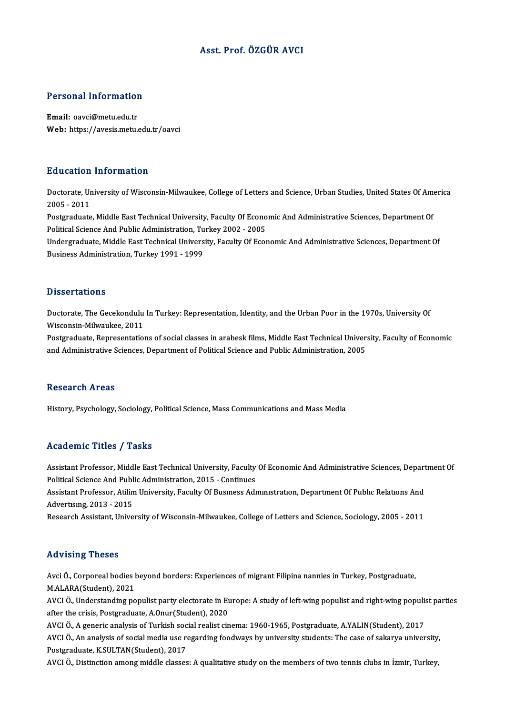## Asst. Prof. ÖZGÜR AVCI

# Personal Information

Personal Information<br>Email: oavci@metu.edu.tr<br>Web: https://avesis.mstu Email: oavci@metu.edu.tr<br>Web: https://avesis.metu.edu.tr/oavci

### Education Information

**Education Information**<br>Doctorate, University of Wisconsin-Milwaukee, College of Letters and Science, Urban Studies, United States Of America<br>2005 - 2011 2006<br>Doctorate, Ur<br>2005 - 2011<br>Postaraduate Doctorate, University of Wisconsin-Milwaukee, College of Letters and Science, Urban Studies, United States Of Am<br>2005 - 2011<br>Postgraduate, Middle East Technical University, Faculty Of Economic And Administrative Sciences,

2005 - 2011<br>Postgraduate, Middle East Technical University, Faculty Of Econo<br>Political Science And Public Administration, Turkey 2002 - 2005<br>Undergraduate Middle Fast Technical University, Faculty Of Econ Postgraduate, Middle East Technical University, Faculty Of Economic And Administrative Sciences, Department Of<br>Political Science And Public Administration, Turkey 2002 - 2005<br>Undergraduate, Middle East Technical University

Political Science And Public Administration, Turkey 2002 - 2005<br>Undergraduate, Middle East Technical University, Faculty Of Economic And Administrative Sciences, Department Of<br>Business Administration, Turkey 1991 - 1999

### **Dissertations**

Dissertations<br>Doctorate, The Gecekondulu In Turkey: Representation, Identity, and the Urban Poor in the 1970s, University Of<br>Wissensin Mikyaukee 2011 Misconsin-Milwaukee, 2011<br>Wisconsin-Milwaukee, 2011<br>Restansduste Representation Doctorate, The Gecekondulu In Turkey: Representation, Identity, and the Urban Poor in the 1970s, University Of<br>Wisconsin-Milwaukee, 2011<br>Postgraduate, Representations of social classes in arabesk films, Middle East Technic

Wisconsin-Milwaukee, 2011<br>Postgraduate, Representations of social classes in arabesk films, Middle East Technical Univer:<br>and Administrative Sciences, Department of Political Science and Public Administration, 2005 and Administrative Sciences, Department of Political Science and Public Administration, 2005<br>Research Areas

History, Psychology, Sociology, Political Science, Mass Communications and Mass Media

### Academic Titles / Tasks

Academic Titles / Tasks<br>Assistant Professor, Middle East Technical University, Faculty Of Economic And Administrative Sciences, Department Of<br>Political Science And Publie Administration, 2015 - Continues Political Science<br>Assistant Professor, Middle East Technical University, Faculty<br>Political Science And Public Administration, 2015 - Continues<br>Assistant Professor, Atilim University, Faculty Of Pusiness Adv Assistant Professor, Middle East Technical University, Faculty Of Economic And Administrative Sciences, Depart<br>Political Science And Public Administration, 2015 - Continues<br>Assistant Professor, Atilim University, Faculty O

Political Science And Public Administration, 2015 - Continues<br>Assistant Professor, Atilim University, Faculty Of Business Administration, Department Of Public Relations And<br>Advertising, 2013 - 2015

Research Assistant, University of Wisconsin-Milwaukee, College of Letters and Science, Sociology, 2005 - 2011

### Advising Theses

Avci Ö., Corporeal bodies beyond borders: Experiences of migrant Filipina nannies in Turkey, Postgraduate, M.ALARA(Student),2021 Avci Ö., Corporeal bodies beyond borders: Experiences of migrant Filipina nannies in Turkey, Postgraduate,<br>M.ALARA(Student), 2021<br>AVCI Ö., Understanding populist party electorate in Europe: A study of left-wing populist an

M.ALARA(Student), 2021<br>AVCI Ö., Understanding populist party electorate in Eu<br>after the crisis, Postgraduate, A.Onur(Student), 2020<br>AVCLÖ, A.coneris apolysis of Turkish sosial realist sin AVCI Ö., Understanding populist party electorate in Europe: A study of left-wing populist and right-wing populis<br>after the crisis, Postgraduate, A.Onur(Student), 2020<br>AVCI Ö., A generic analysis of Turkish social realist c

AVCI Ö., A generic analysis of Turkish social realist cinema: 1960-1965, Postgraduate, A.YALIN(Student), 2017

after the crisis, Postgraduate, A.Onur(Student), 2020<br>AVCI Ö., A generic analysis of Turkish social realist cinema: 1960-1965, Postgraduate, A.YALIN(Student), 2017<br>AVCI Ö., An analysis of social media use regarding foodway

AVCI Ö., Distinction among middle classes: A qualitative study on the members of two tennis clubs in İzmir, Turkey,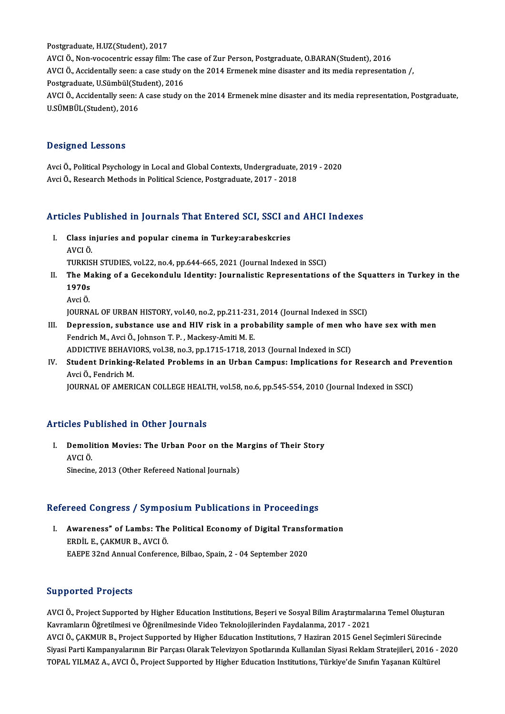Postgraduate, H.UZ(Student), 2017 AVCI Ö., Non-vococentric essay film: The case of Zur Person, Postgraduate, O.BARAN(Student), 2016 Postgraduate, H.UZ(Student), 2017<br>AVCI Ö., Non-vococentric essay film: The case of Zur Person, Postgraduate, O.BARAN(Student), 2016<br>AVCI Ö., Accidentally seen: a case study on the 2014 Ermenek mine disaster and its media r AVCI Ö., Non-vococentric essay film: The<br>AVCI Ö., Accidentally seen: a case study o<br>Postgraduate, U.Sümbül(Student), 2016<br>AVCI Ö. Assidentelly seen: A sees study s AVCI Ö., Accidentally seen: A case study on the 2014 Ermenek mine disaster and its media representation, Postgraduate,<br>U.SÜMBÜL(Student), 2016 Postgraduate, U.Sümbül(Student), 2016

### Designed Lessons

Avci Ö., Political Psychology in Local and Global Contexts, Undergraduate, 2019 - 2020 Avci Ö., Research Methods in Political Science, Postgraduate, 2017 - 2018

# Avci 0., Research Methods in Political Science, Postgraduate, 2017 - 2018<br>Articles Published in Journals That Entered SCI, SSCI and AHCI Indexes

rticles Published in Journals That Entered SCI, SSCI an<br>I. Class injuries and popular cinema in Turkey:arabeskcries<br>AVCLÖ I. Class injuries and popular cinema in Turkey: arabeskcries<br>AVCI Ö.

TURKISH STUDIES, vol.22, no.4, pp.644-665, 2021 (Journal Indexed in SSCI)

- AVCI Ö.<br>TURKISH STUDIES, vol.22, no.4, pp.644-665, 2021 (Journal Indexed in SSCI)<br>II. The Making of a Gecekondulu Identity: Journalistic Representations of the Squatters in Turkey in the<br>1970s TURKIS<br>The Ma<br>1970s<br>Avri Ö The M<br>1970s<br>Avci Ö.<br>IOUPN 1970s<br>Avci Ö.<br>JOURNAL OF URBAN HISTORY, vol.40, no.2, pp.211-231, 2014 (Journal Indexed in SSCI)<br>Denression, substanse use and HIV risk in a probability sample of men who b
	-

- Avci Ö.<br>I I. DURNAL OF URBAN HISTORY, vol.40, no.2, pp.211-231, 2014 (Journal Indexed in SSCI)<br>III. Depression, substance use and HIV risk in a probability sample of men who have sex with men<br>Fondrich M. Avsi Ö. Johnson T. FOURNAL OF URBAN HISTORY, vol.40, no.2, pp.211-231<br>Depression, substance use and HIV risk in a prol<br>Fendrich M., Avci Ö., Johnson T. P. , Mackesy-Amiti M. E.<br>ADDICTIVE PEHAVIOPS, vol.29, no.2, nn.1715-1719-20 Depression, substance use and HIV risk in a probability sample of men wl<br>Fendrich M., Avci Ö., Johnson T. P. , Mackesy-Amiti M. E.<br>ADDICTIVE BEHAVIORS, vol.38, no.3, pp.1715-1718, 2013 (Journal Indexed in SCI)<br>Student Drin Fendrich M., Avci Ö., Johnson T. P. , Mackesy-Amiti M. E.<br>ADDICTIVE BEHAVIORS, vol.38, no.3, pp.1715-1718, 2013 (Journal Indexed in SCI)<br>IV. Student Drinking-Related Problems in an Urban Campus: Implications for Research a
- ADDICTIVE BEHAVI<br><mark>Student Drinking-</mark><br>Avci Ö., Fendrich M.<br>JOUPNAJ, OE AMERI Student Drinking-Related Problems in an Urban Campus: Implications for Research and P<br>Avci Ö., Fendrich M.<br>JOURNAL OF AMERICAN COLLEGE HEALTH, vol.58, no.6, pp.545-554, 2010 (Journal Indexed in SSCI)

JOURNAL OF AMERICAN COLLEGE HEALTH, vol.58, no.6, pp.545-554, 2010 (Journal Indexed in SSCI)<br>Articles Published in Other Journals

rticles Published in Other Journals<br>I. Demolition Movies: The Urban Poor on the Margins of Their Story<br>AVCLÖ noon<br>Demoli<br>AVCI Ö.<br><sup>Sinocin</sup>í Demolition Movies: The Urban Poor on the M<br>AVCI Ö.<br>Sinecine, 2013 (Other Refereed National Journals)

## Sinecine, 2013 (Other Refereed National Journals)<br>Refereed Congress / Symposium Publications in Proceedings

efereed Congress / Symposium Publications in Proceedings<br>I. Awareness" of Lambs: The Political Economy of Digital Transformation<br>FRDDILE CAKMUR BLAVCLÖ ERDİL E., ÇAKMUR B., AVCI Ö.<br>EAEPE 32nd Annual Conference, Bilbao, Spain, 2 - 04 September 2020 Awareness" of Lambs: The Political Economy of Digital Transfo<br>ERDİL E., ÇAKMUR B., AVCI Ö.<br>EAEPE 32nd Annual Conference, Bilbao, Spain, 2 - 04 September 2020

### Supported Projects

Supported Projects<br>AVCI Ö., Project Supported by Higher Education Institutions, Beşeri ve Sosyal Bilim Araştırmalarına Temel Oluşturan<br>Kayramların Öğretilmesi ve Öğrenilmesinde Video Telmelejilerinden Faydalarına 2017–2021 Supportsen 11998s.<br>AVCI Ö., Project Supported by Higher Education Institutions, Beşeri ve Sosyal Bilim Araştırmala<br>Kavramların Öğretilmesi ve Öğrenilmesinde Video Teknolojilerinden Faydalanma, 2017 - 2021<br>AVCI Ö. GAKMUR R. AVCI Ö., Project Supported by Higher Education Institutions, Beşeri ve Sosyal Bilim Araştırmalarına Temel Oluşturan<br>Kavramların Öğretilmesi ve Öğrenilmesinde Video Teknolojilerinden Faydalanma, 2017 - 2021<br>AVCI Ö., ÇAKMUR Kavramların Öğretilmesi ve Öğrenilmesinde Video Teknolojilerinden Faydalanma, 2017 - 2021<br>AVCI Ö., ÇAKMUR B., Project Supported by Higher Education Institutions, 7 Haziran 2015 Genel Seçimleri Sürecinde<br>Siyasi Parti Kampan TOPAL YILMAZ A., AVCI Ö., Project Supported by Higher Education Institutions, Türkiye'de Sınıfın Yaşanan Kültürel